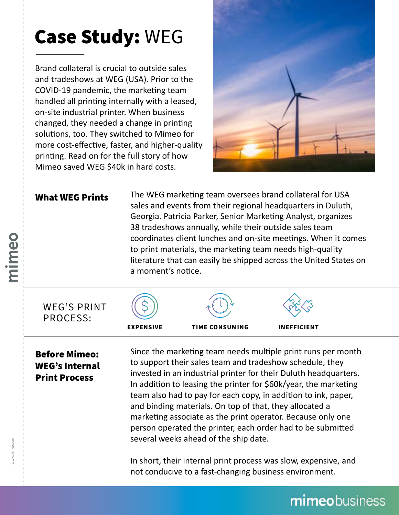## Case Study: WEG

Brand collateral is crucial to outside sales and tradeshows at WEG (USA). Prior to the COVID-19 pandemic, the marketing team handled all printing internally with a leased, on-site industrial printer. When business changed, they needed a change in printing solutions, too. They switched to Mimeo for more cost-effective, faster, and higher-quality printing. Read on for the full story of how Mimeo saved WEG \$40k in hard costs.



#### What WEG Prints

The WEG marketing team oversees brand collateral for USA sales and events from their regional headquarters in Duluth, Georgia. Patricia Parker, Senior Marketing Analyst, organizes 38 tradeshows annually, while their outside sales team coordinates client lunches and on-site meetings. When it comes to print materials, the marketing team needs high-quality literature that can easily be shipped across the United States on a moment's notice.



#### Before Mimeo: WEG's Internal Print Process

Since the marketing team needs multiple print runs per month to support their sales team and tradeshow schedule, they invested in an industrial printer for their Duluth headquarters. In addition to leasing the printer for \$60k/year, the marketing team also had to pay for each copy, in addition to ink, paper, and binding materials. On top of that, they allocated a marketing associate as the print operator. Because only one person operated the printer, each order had to be submitted several weeks ahead of the ship date.

In short, their internal print process was slow, expensive, and not conducive to a fast-changing business environment.

## mimeobusiness

oeuujuu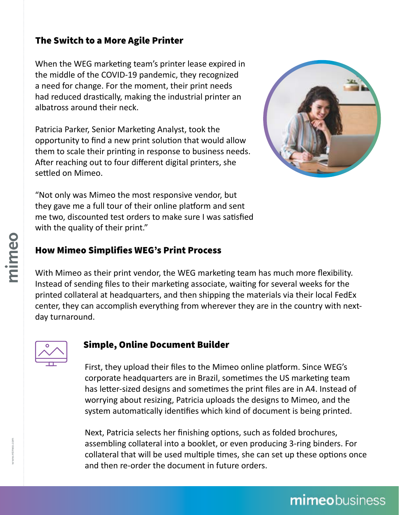#### The Switch to a More Agile Printer

When the WEG marketing team's printer lease expired in the middle of the COVID-19 pandemic, they recognized a need for change. For the moment, their print needs had reduced drastically, making the industrial printer an albatross around their neck.

Patricia Parker, Senior Marketing Analyst, took the opportunity to find a new print solution that would allow them to scale their printing in response to business needs. After reaching out to four different digital printers, she settled on Mimeo.



"Not only was Mimeo the most responsive vendor, but they gave me a full tour of their online platform and sent me two, discounted test orders to make sure I was satisfied with the quality of their print."

#### How Mimeo Simplifies WEG's Print Process

With Mimeo as their print vendor, the WEG marketing team has much more flexibility. Instead of sending files to their marketing associate, waiting for several weeks for the printed collateral at headquarters, and then shipping the materials via their local FedEx center, they can accomplish everything from wherever they are in the country with nextday turnaround.



#### Simple, Online Document Builder

First, they upload their files to the Mimeo online platform. Since WEG's corporate headquarters are in Brazil, sometimes the US marketing team has letter-sized designs and sometimes the print files are in A4. Instead of worrying about resizing, Patricia uploads the designs to Mimeo, and the system automatically identifies which kind of document is being printed.

Next, Patricia selects her finishing options, such as folded brochures, assembling collateral into a booklet, or even producing 3-ring binders. For collateral that will be used multiple times, she can set up these options once and then re-order the document in future orders.

## mimeobusiness